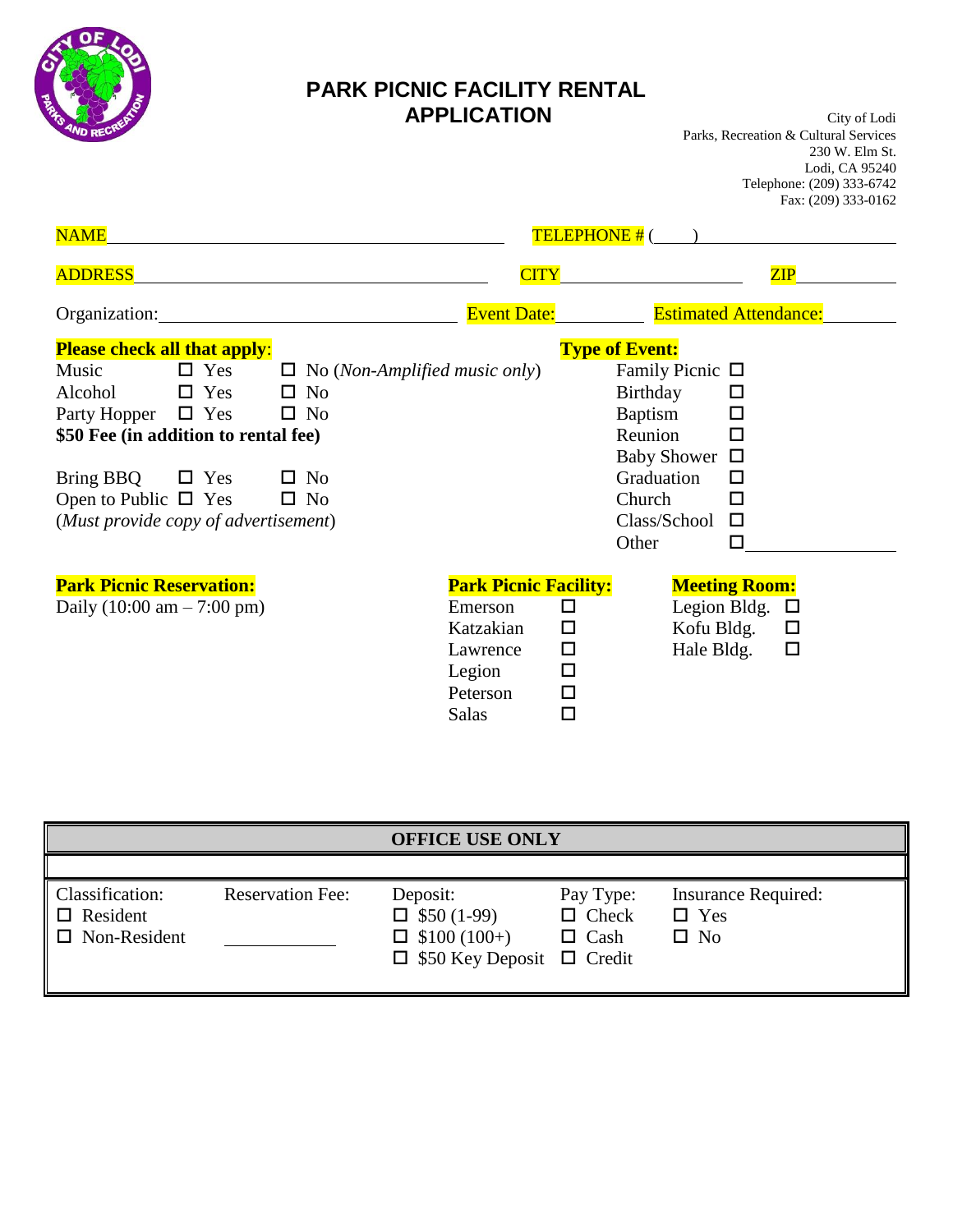

## **PARK PICNIC FACILITY RENTAL APPLICATION** City of Lodi

Parks, Recreation & Cultural Services 230 W. Elm St. Lodi, CA 95240 Telephone: (209) 333-6742 Fax: (209) 333-0162

| <b>NAME</b>                                                                                                                                               |                                                                                                                                                                                                                                      |                                                                                                 | TELEPHONE #(                                   |                                                                                                                           |  |  |
|-----------------------------------------------------------------------------------------------------------------------------------------------------------|--------------------------------------------------------------------------------------------------------------------------------------------------------------------------------------------------------------------------------------|-------------------------------------------------------------------------------------------------|------------------------------------------------|---------------------------------------------------------------------------------------------------------------------------|--|--|
| <b>ADDRESS</b>                                                                                                                                            |                                                                                                                                                                                                                                      | <b>CITY</b>                                                                                     |                                                | ZIP                                                                                                                       |  |  |
| Organization:                                                                                                                                             | <u>and the company of the company of the company of the company of the company of the company of the company of the company of the company of the company of the company of the company of the company of the company of the com</u> | <b>Event Date:</b>                                                                              |                                                | <b>Estimated Attendance:</b>                                                                                              |  |  |
| <b>Please check all that apply:</b><br>Music<br>$\Box$ Yes<br>Alcohol<br>$\square$ Yes<br>Party Hopper $\Box$ Yes<br>\$50 Fee (in addition to rental fee) | $\Box$ No (Non-Amplified music only)<br>$\square$ No<br>$\square$ No                                                                                                                                                                 |                                                                                                 |                                                | <b>Type of Event:</b><br>Family Picnic $\Box$<br>Birthday<br>ப<br>Baptism<br>П<br>Reunion<br>п<br><b>Baby Shower</b><br>□ |  |  |
| Bring BBQ<br>$\Box$ Yes<br>Open to Public $\Box$ Yes<br>(Must provide copy of advertisement)                                                              | $\square$ No<br>$\square$ No                                                                                                                                                                                                         |                                                                                                 |                                                | Graduation<br>П<br>Church<br>□<br>Class/School<br>$\Box$<br>Other<br>П                                                    |  |  |
| <b>Park Picnic Reservation:</b><br>Daily $(10:00 \text{ am} - 7:00 \text{ pm})$                                                                           |                                                                                                                                                                                                                                      | <b>Park Picnic Facility:</b><br>Emerson<br>Katzakian<br>Lawrence<br>Legion<br>Peterson<br>Salas | $\Box$<br>□<br>$\Box$<br>$\Box$<br>$\Box$<br>□ | <b>Meeting Room:</b><br>Legion Bldg.<br>$\Box$<br>Kofu Bldg.<br>$\Box$<br>Hale Bldg.<br>$\Box$                            |  |  |

| <b>OFFICE USE ONLY</b>                                    |                         |                                                                                                |                                          |                                                          |  |
|-----------------------------------------------------------|-------------------------|------------------------------------------------------------------------------------------------|------------------------------------------|----------------------------------------------------------|--|
| Classification:<br>$\Box$ Resident<br>$\Box$ Non-Resident | <b>Reservation Fee:</b> | Deposit:<br>$\Box$ \$50 (1-99)<br>$\Box$ \$100 (100+)<br>$\Box$ \$50 Key Deposit $\Box$ Credit | Pay Type:<br>$\Box$ Check<br>$\Box$ Cash | <b>Insurance Required:</b><br>$\Box$ Yes<br>$\square$ No |  |